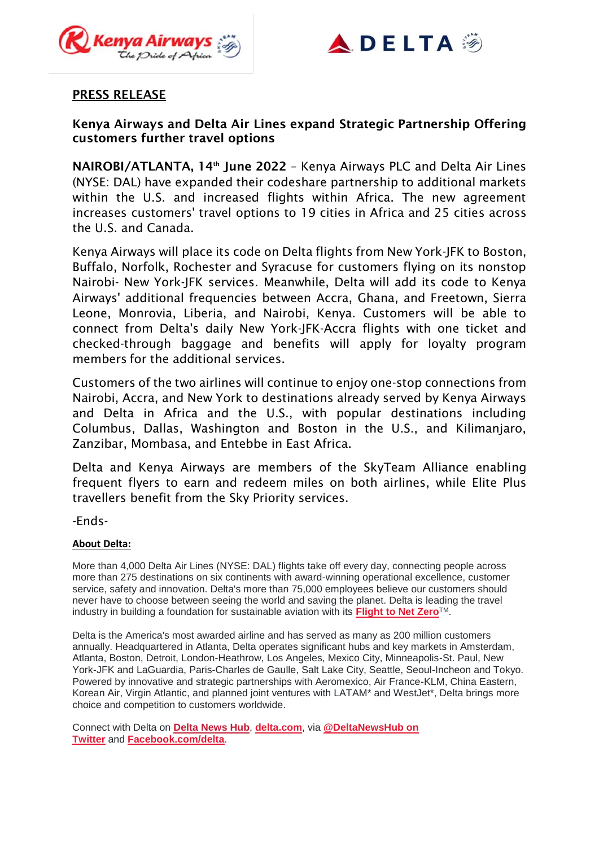



## PRESS RELEASE

# Kenya Airways and Delta Air Lines expand Strategic Partnership Offering customers further travel options

NAIROBI/ATLANTA, 14<sup>th</sup> June 2022 - Kenya Airways PLC and Delta Air Lines (NYSE: DAL) have expanded their codeshare partnership to additional markets within the U.S. and increased flights within Africa. The new agreement increases customers' travel options to 19 cities in Africa and 25 cities across the U.S. and Canada.

Kenya Airways will place its code on Delta flights from New York-JFK to Boston, Buffalo, Norfolk, Rochester and Syracuse for customers flying on its nonstop Nairobi- New York-JFK services. Meanwhile, Delta will add its code to Kenya Airways' additional frequencies between Accra, Ghana, and Freetown, Sierra Leone, Monrovia, Liberia, and Nairobi, Kenya. Customers will be able to connect from Delta's daily New York-JFK-Accra flights with one ticket and checked-through baggage and benefits will apply for loyalty program members for the additional services.

Customers of the two airlines will continue to enjoy one-stop connections from Nairobi, Accra, and New York to destinations already served by Kenya Airways and Delta in Africa and the U.S., with popular destinations including Columbus, Dallas, Washington and Boston in the U.S., and Kilimanjaro, Zanzibar, Mombasa, and Entebbe in East Africa.

Delta and Kenya Airways are members of the SkyTeam Alliance enabling frequent flyers to earn and redeem miles on both airlines, while Elite Plus travellers benefit from the Sky Priority services.

-Ends-

## **About Delta:**

More than 4,000 Delta Air Lines (NYSE: DAL) flights take off every day, connecting people across more than 275 destinations on six continents with award-winning operational excellence, customer service, safety and innovation. Delta's more than 75,000 employees believe our customers should never have to choose between seeing the world and saving the planet. Delta is leading the travel industry in building a foundation for sustainable aviation with its **[Flight](https://news.delta.com/delta-launches-flight-net-zero-signs-partnership-cwt) to Net Zero**TM.

Delta is the America's most awarded airline and has served as many as 200 million customers annually. Headquartered in Atlanta, Delta operates significant hubs and key markets in Amsterdam, Atlanta, Boston, Detroit, London-Heathrow, Los Angeles, Mexico City, Minneapolis-St. Paul, New York-JFK and LaGuardia, Paris-Charles de Gaulle, Salt Lake City, Seattle, Seoul-Incheon and Tokyo. Powered by innovative and strategic partnerships with Aeromexico, Air France-KLM, China Eastern, Korean Air, Virgin Atlantic, and planned joint ventures with LATAM\* and WestJet\*, Delta brings more choice and competition to customers worldwide.

Connect with Delta on **Delta [News](https://news.delta.com/) Hub**, **[delta.com](https://www.delta.com/)**, via **[@DeltaNewsHub](https://twitter.com/deltanewshub) on [Twitter](https://twitter.com/deltanewshub)** and **[Facebook.com/delta](https://www.facebook.com/delta)**.